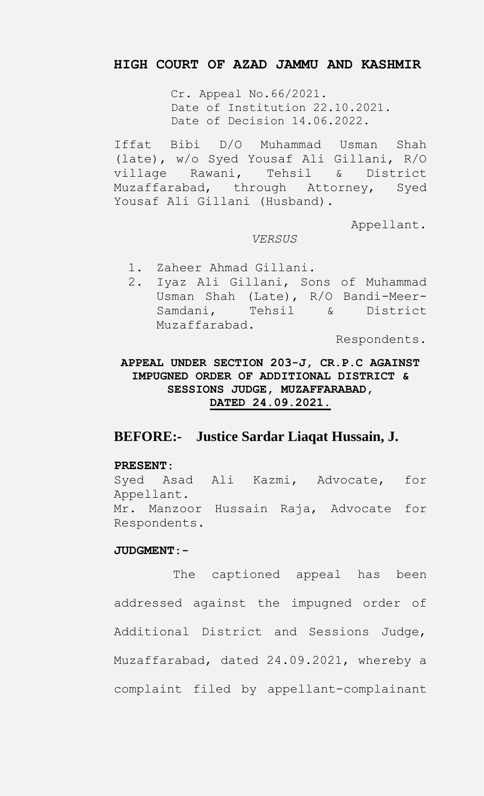## **HIGH COURT OF AZAD JAMMU AND KASHMIR**

Cr. Appeal No.66/2021. Date of Institution 22.10.2021. Date of Decision 14.06.2022.

Iffat Bibi D/O Muhammad Usman Shah (late), w/o Syed Yousaf Ali Gillani, R/O village Rawani, Tehsil & District Muzaffarabad, through Attorney, Syed Yousaf Ali Gillani (Husband).

Appellant.

### *VERSUS*

- 1. Zaheer Ahmad Gillani.
- 2. Iyaz Ali Gillani, Sons of Muhammad Usman Shah (Late), R/O Bandi-Meer-Samdani, Tehsil & District Muzaffarabad.

Respondents.

**APPEAL UNDER SECTION 203-J, CR.P.C AGAINST IMPUGNED ORDER OF ADDITIONAL DISTRICT & SESSIONS JUDGE, MUZAFFARABAD, DATED 24.09.2021.**

# **BEFORE:- Justice Sardar Liaqat Hussain, J.**

### **PRESENT:**

Syed Asad Ali Kazmi, Advocate, for Appellant. Mr. Manzoor Hussain Raja, Advocate for Respondents.

### **JUDGMENT:-**

The captioned appeal has been addressed against the impugned order of Additional District and Sessions Judge, Muzaffarabad, dated 24.09.2021, whereby a complaint filed by appellant-complainant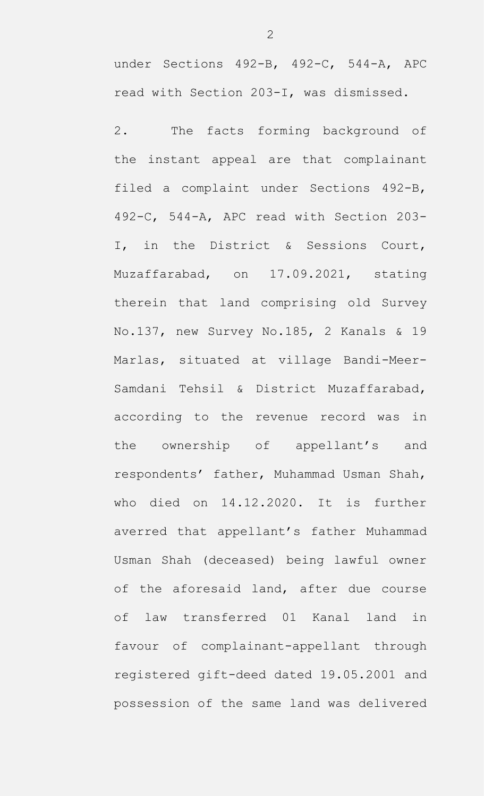under Sections 492-B, 492-C, 544-A, APC read with Section 203-I, was dismissed.

2. The facts forming background of the instant appeal are that complainant filed a complaint under Sections 492-B, 492-C, 544-A, APC read with Section 203- I, in the District & Sessions Court, Muzaffarabad, on 17.09.2021, stating therein that land comprising old Survey No.137, new Survey No.185, 2 Kanals & 19 Marlas, situated at village Bandi-Meer-Samdani Tehsil & District Muzaffarabad, according to the revenue record was in the ownership of appellant's and respondents' father, Muhammad Usman Shah, who died on 14.12.2020. It is further averred that appellant's father Muhammad Usman Shah (deceased) being lawful owner of the aforesaid land, after due course of law transferred 01 Kanal land in favour of complainant-appellant through registered gift-deed dated 19.05.2001 and possession of the same land was delivered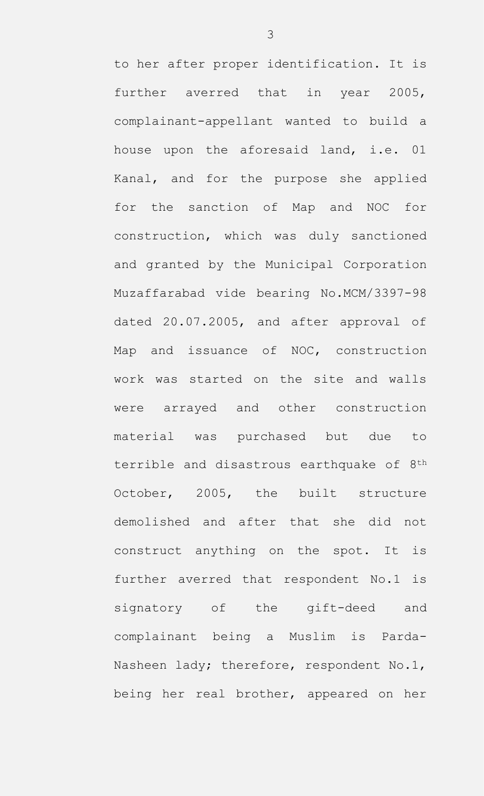to her after proper identification. It is further averred that in year 2005, complainant-appellant wanted to build a house upon the aforesaid land, i.e. 01 Kanal, and for the purpose she applied for the sanction of Map and NOC for construction, which was duly sanctioned and granted by the Municipal Corporation Muzaffarabad vide bearing No.MCM/3397-98 dated 20.07.2005, and after approval of Map and issuance of NOC, construction work was started on the site and walls were arrayed and other construction material was purchased but due to terrible and disastrous earthquake of 8<sup>th</sup> October, 2005, the built structure demolished and after that she did not construct anything on the spot. It is further averred that respondent No.1 is signatory of the gift-deed and complainant being a Muslim is Parda-Nasheen lady; therefore, respondent No.1, being her real brother, appeared on her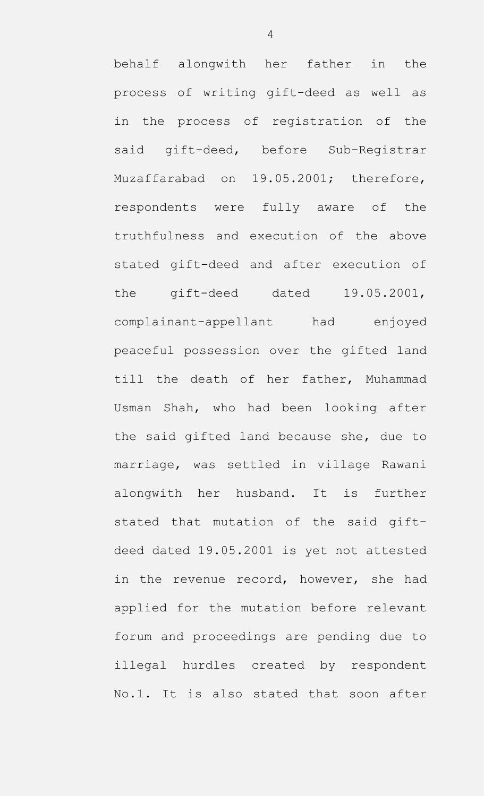behalf alongwith her father in the process of writing gift-deed as well as in the process of registration of the said gift-deed, before Sub-Registrar Muzaffarabad on 19.05.2001; therefore, respondents were fully aware of the truthfulness and execution of the above stated gift-deed and after execution of the gift-deed dated 19.05.2001, complainant-appellant had enjoyed peaceful possession over the gifted land till the death of her father, Muhammad Usman Shah, who had been looking after the said gifted land because she, due to marriage, was settled in village Rawani alongwith her husband. It is further stated that mutation of the said giftdeed dated 19.05.2001 is yet not attested in the revenue record, however, she had applied for the mutation before relevant forum and proceedings are pending due to illegal hurdles created by respondent No.1. It is also stated that soon after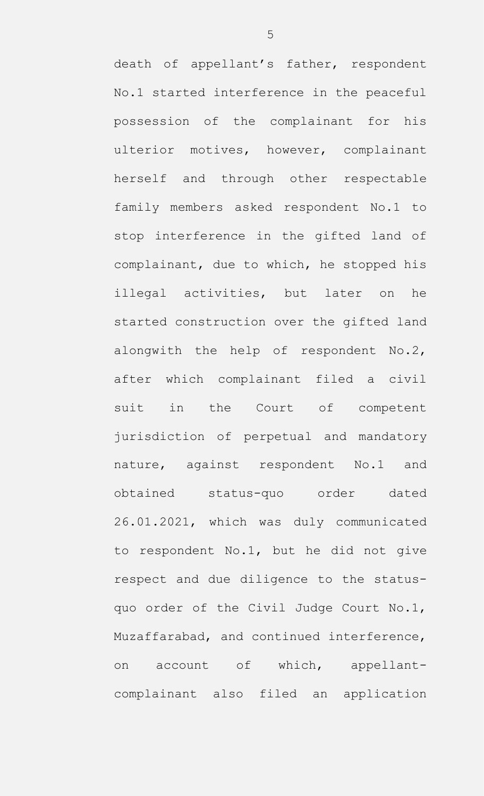death of appellant's father, respondent No.1 started interference in the peaceful possession of the complainant for his ulterior motives, however, complainant herself and through other respectable family members asked respondent No.1 to stop interference in the gifted land of complainant, due to which, he stopped his illegal activities, but later on he started construction over the gifted land alongwith the help of respondent No.2, after which complainant filed a civil suit in the Court of competent jurisdiction of perpetual and mandatory nature, against respondent No.1 and obtained status-quo order dated 26.01.2021, which was duly communicated to respondent No.1, but he did not give respect and due diligence to the statusquo order of the Civil Judge Court No.1, Muzaffarabad, and continued interference, on account of which, appellantcomplainant also filed an application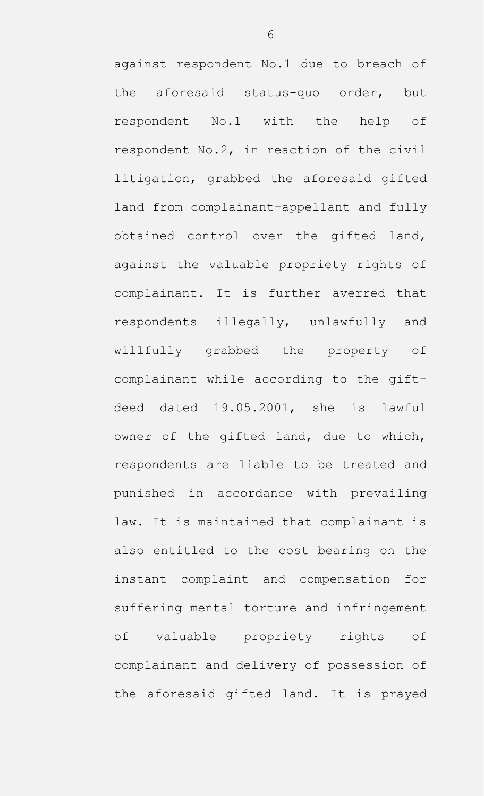against respondent No.1 due to breach of the aforesaid status-quo order, but respondent No.1 with the help of respondent No.2, in reaction of the civil litigation, grabbed the aforesaid gifted land from complainant-appellant and fully obtained control over the gifted land, against the valuable propriety rights of complainant. It is further averred that respondents illegally, unlawfully and willfully grabbed the property of complainant while according to the giftdeed dated 19.05.2001, she is lawful owner of the gifted land, due to which, respondents are liable to be treated and punished in accordance with prevailing law. It is maintained that complainant is also entitled to the cost bearing on the instant complaint and compensation for suffering mental torture and infringement of valuable propriety rights of complainant and delivery of possession of the aforesaid gifted land. It is prayed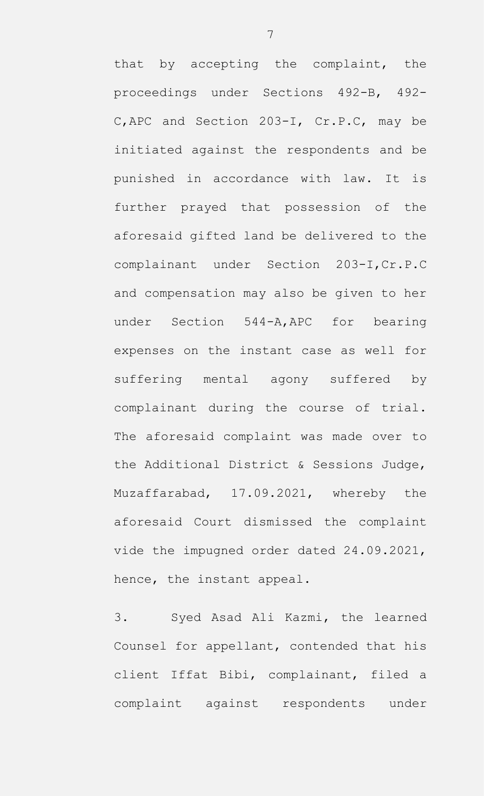that by accepting the complaint, the proceedings under Sections 492-B, 492- C,APC and Section 203-I, Cr.P.C, may be initiated against the respondents and be punished in accordance with law. It is further prayed that possession of the aforesaid gifted land be delivered to the complainant under Section 203-I,Cr.P.C and compensation may also be given to her under Section 544-A,APC for bearing expenses on the instant case as well for suffering mental agony suffered by complainant during the course of trial. The aforesaid complaint was made over to the Additional District & Sessions Judge, Muzaffarabad, 17.09.2021, whereby the aforesaid Court dismissed the complaint vide the impugned order dated 24.09.2021, hence, the instant appeal.

3. Syed Asad Ali Kazmi, the learned Counsel for appellant, contended that his client Iffat Bibi, complainant, filed a complaint against respondents under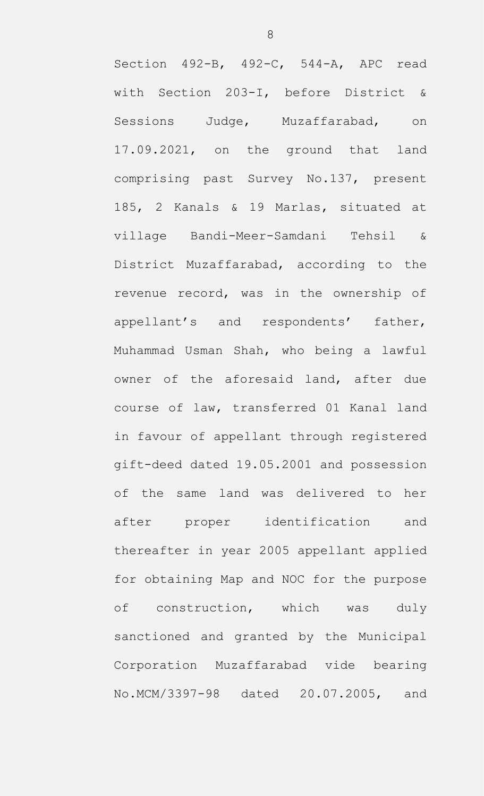Section 492-B, 492-C, 544-A, APC read with Section 203-I, before District & Sessions Judge, Muzaffarabad, on 17.09.2021, on the ground that land comprising past Survey No.137, present 185, 2 Kanals & 19 Marlas, situated at village Bandi-Meer-Samdani Tehsil & District Muzaffarabad, according to the revenue record, was in the ownership of appellant's and respondents' father, Muhammad Usman Shah, who being a lawful owner of the aforesaid land, after due course of law, transferred 01 Kanal land in favour of appellant through registered gift-deed dated 19.05.2001 and possession of the same land was delivered to her after proper identification and thereafter in year 2005 appellant applied for obtaining Map and NOC for the purpose of construction, which was duly sanctioned and granted by the Municipal Corporation Muzaffarabad vide bearing No.MCM/3397-98 dated 20.07.2005, and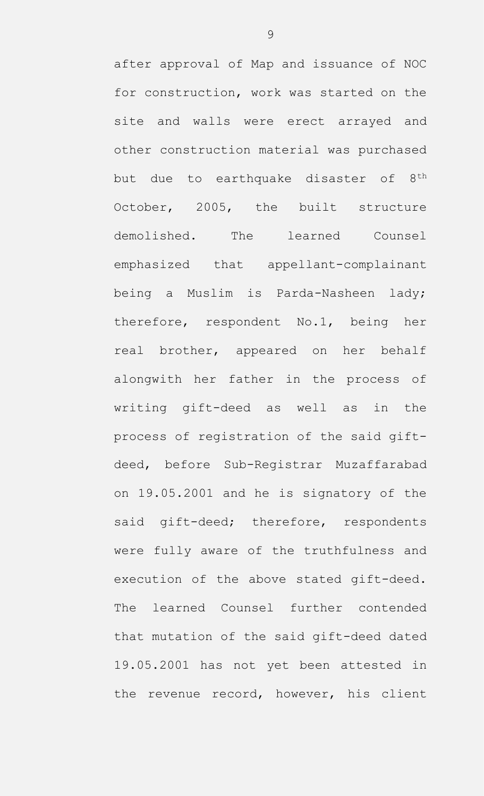after approval of Map and issuance of NOC for construction, work was started on the site and walls were erect arrayed and other construction material was purchased but due to earthquake disaster of 8<sup>th</sup> October, 2005, the built structure demolished. The learned Counsel emphasized that appellant-complainant being a Muslim is Parda-Nasheen lady; therefore, respondent No.1, being her real brother, appeared on her behalf alongwith her father in the process of writing gift-deed as well as in the process of registration of the said giftdeed, before Sub-Registrar Muzaffarabad on 19.05.2001 and he is signatory of the said gift-deed; therefore, respondents were fully aware of the truthfulness and execution of the above stated gift-deed. The learned Counsel further contended that mutation of the said gift-deed dated 19.05.2001 has not yet been attested in the revenue record, however, his client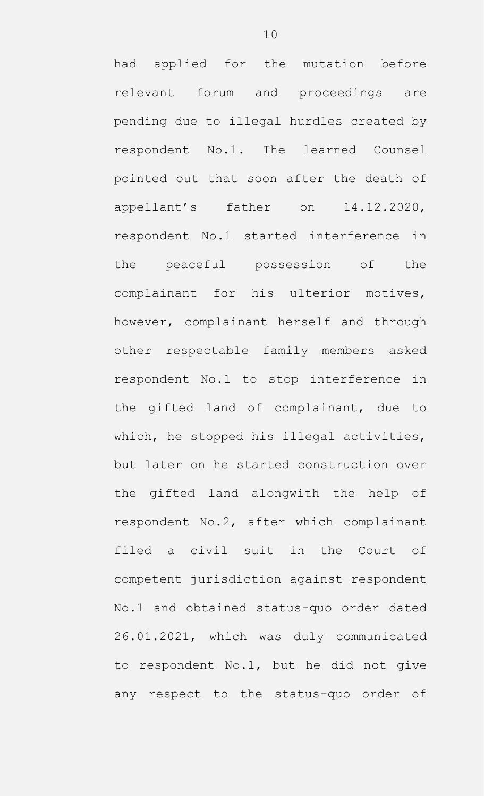had applied for the mutation before relevant forum and proceedings are pending due to illegal hurdles created by respondent No.1. The learned Counsel pointed out that soon after the death of appellant's father on 14.12.2020, respondent No.1 started interference in the peaceful possession of the complainant for his ulterior motives, however, complainant herself and through other respectable family members asked respondent No.1 to stop interference in the gifted land of complainant, due to which, he stopped his illegal activities, but later on he started construction over the gifted land alongwith the help of respondent No.2, after which complainant filed a civil suit in the Court of competent jurisdiction against respondent No.1 and obtained status-quo order dated 26.01.2021, which was duly communicated to respondent No.1, but he did not give any respect to the status-quo order of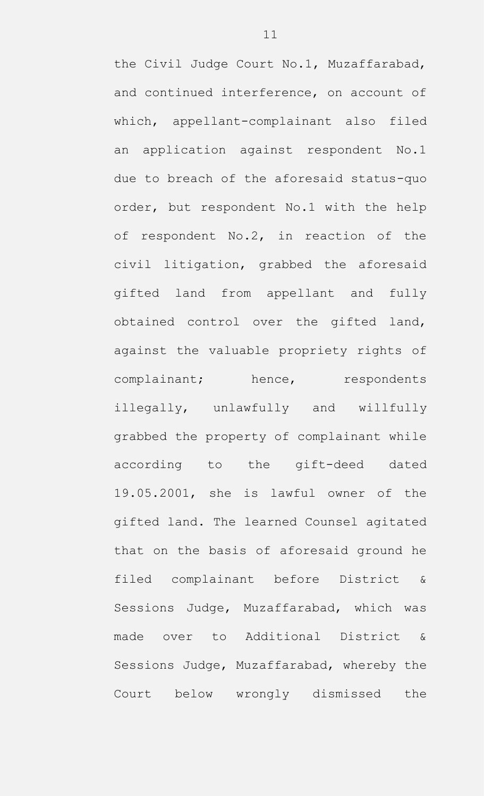the Civil Judge Court No.1, Muzaffarabad, and continued interference, on account of which, appellant-complainant also filed an application against respondent No.1 due to breach of the aforesaid status-quo order, but respondent No.1 with the help of respondent No.2, in reaction of the civil litigation, grabbed the aforesaid gifted land from appellant and fully obtained control over the gifted land, against the valuable propriety rights of complainant; hence, respondents illegally, unlawfully and willfully grabbed the property of complainant while according to the gift-deed dated 19.05.2001, she is lawful owner of the gifted land. The learned Counsel agitated that on the basis of aforesaid ground he filed complainant before District & Sessions Judge, Muzaffarabad, which was made over to Additional District & Sessions Judge, Muzaffarabad, whereby the Court below wrongly dismissed the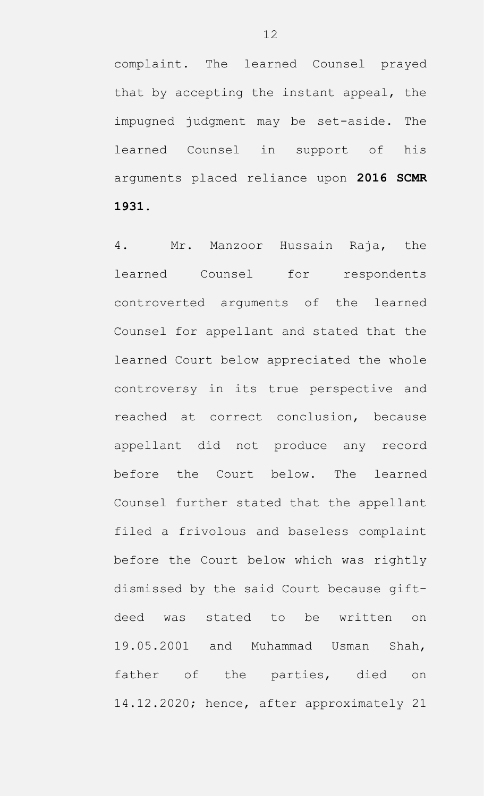complaint. The learned Counsel prayed that by accepting the instant appeal, the impugned judgment may be set-aside. The learned Counsel in support of his arguments placed reliance upon **2016 SCMR 1931**.

4. Mr. Manzoor Hussain Raja, the learned Counsel for respondents controverted arguments of the learned Counsel for appellant and stated that the learned Court below appreciated the whole controversy in its true perspective and reached at correct conclusion, because appellant did not produce any record before the Court below. The learned Counsel further stated that the appellant filed a frivolous and baseless complaint before the Court below which was rightly dismissed by the said Court because giftdeed was stated to be written on 19.05.2001 and Muhammad Usman Shah, father of the parties, died on 14.12.2020; hence, after approximately 21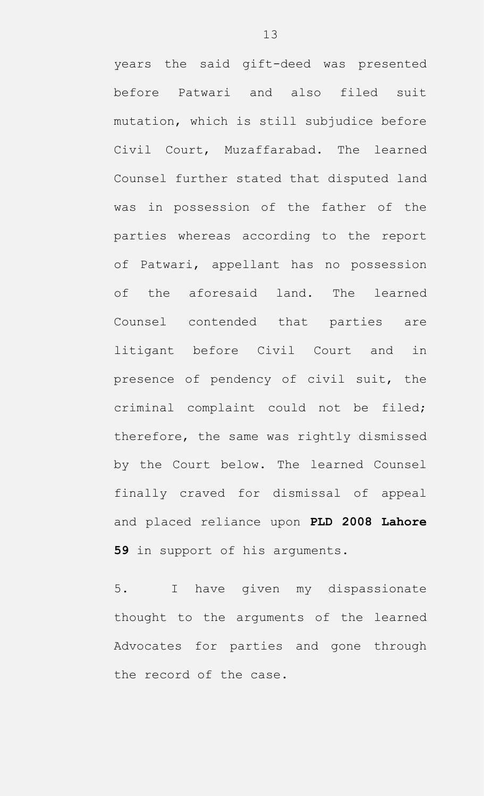years the said gift-deed was presented before Patwari and also filed suit mutation, which is still subjudice before Civil Court, Muzaffarabad. The learned Counsel further stated that disputed land was in possession of the father of the parties whereas according to the report of Patwari, appellant has no possession of the aforesaid land. The learned Counsel contended that parties are litigant before Civil Court and in presence of pendency of civil suit, the criminal complaint could not be filed; therefore, the same was rightly dismissed by the Court below. The learned Counsel finally craved for dismissal of appeal and placed reliance upon **PLD 2008 Lahore 59** in support of his arguments.

5. I have given my dispassionate thought to the arguments of the learned Advocates for parties and gone through the record of the case.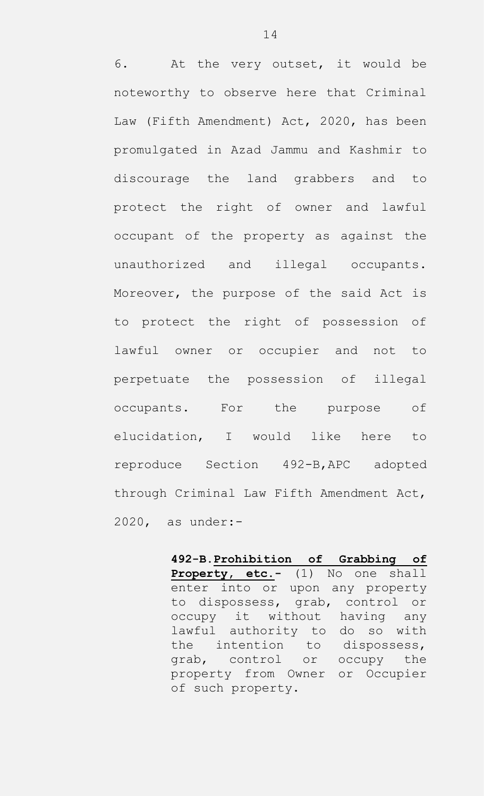6. At the very outset, it would be noteworthy to observe here that Criminal Law (Fifth Amendment) Act, 2020, has been promulgated in Azad Jammu and Kashmir to discourage the land grabbers and to protect the right of owner and lawful occupant of the property as against the unauthorized and illegal occupants. Moreover, the purpose of the said Act is to protect the right of possession of lawful owner or occupier and not to perpetuate the possession of illegal occupants. For the purpose of elucidation, I would like here to reproduce Section 492-B,APC adopted through Criminal Law Fifth Amendment Act, 2020, as under:-

> **492-B.Prohibition of Grabbing of Property, etc.-** (1) No one shall enter into or upon any property to dispossess, grab, control or occupy it without having any lawful authority to do so with the intention to dispossess, grab, control or occupy the property from Owner or Occupier of such property.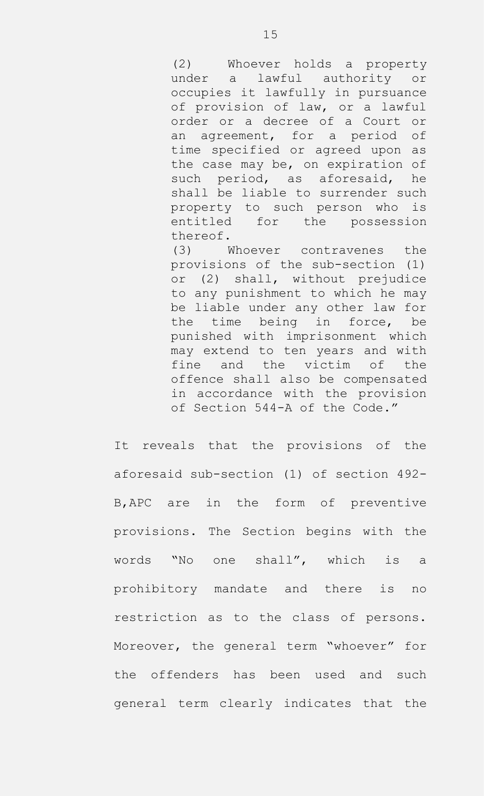(2) Whoever holds a property under a lawful authority or occupies it lawfully in pursuance of provision of law, or a lawful order or a decree of a Court or an agreement, for a period of time specified or agreed upon as the case may be, on expiration of such period, as aforesaid, he shall be liable to surrender such property to such person who is entitled for the possession thereof.

(3) Whoever contravenes the provisions of the sub-section (1) or (2) shall, without prejudice to any punishment to which he may be liable under any other law for the time being in force, be punished with imprisonment which may extend to ten years and with fine and the victim of the offence shall also be compensated in accordance with the provision of Section 544-A of the Code."

It reveals that the provisions of the aforesaid sub-section (1) of section 492- B,APC are in the form of preventive provisions. The Section begins with the words "No one shall", which is a prohibitory mandate and there is no restriction as to the class of persons. Moreover, the general term "whoever" for the offenders has been used and such general term clearly indicates that the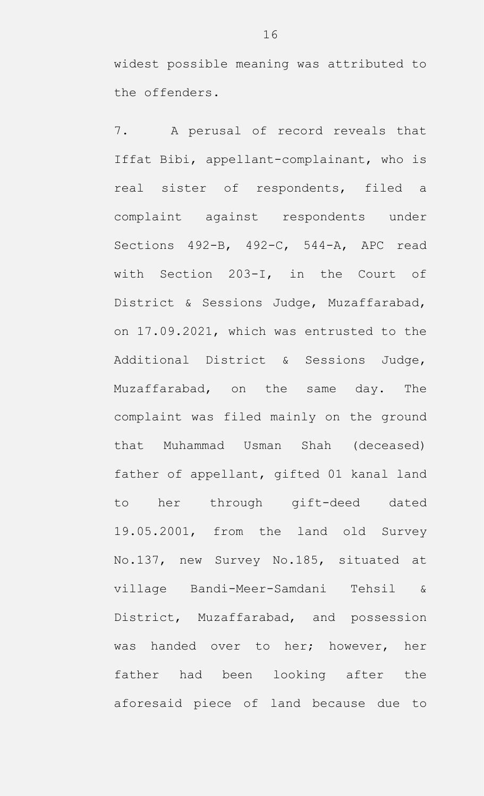widest possible meaning was attributed to the offenders.

7. A perusal of record reveals that Iffat Bibi, appellant-complainant, who is real sister of respondents, filed a complaint against respondents under Sections 492-B, 492-C, 544-A, APC read with Section 203-I, in the Court of District & Sessions Judge, Muzaffarabad, on 17.09.2021, which was entrusted to the Additional District & Sessions Judge, Muzaffarabad, on the same day. The complaint was filed mainly on the ground that Muhammad Usman Shah (deceased) father of appellant, gifted 01 kanal land to her through gift-deed dated 19.05.2001, from the land old Survey No.137, new Survey No.185, situated at village Bandi-Meer-Samdani Tehsil & District, Muzaffarabad, and possession was handed over to her; however, her father had been looking after the aforesaid piece of land because due to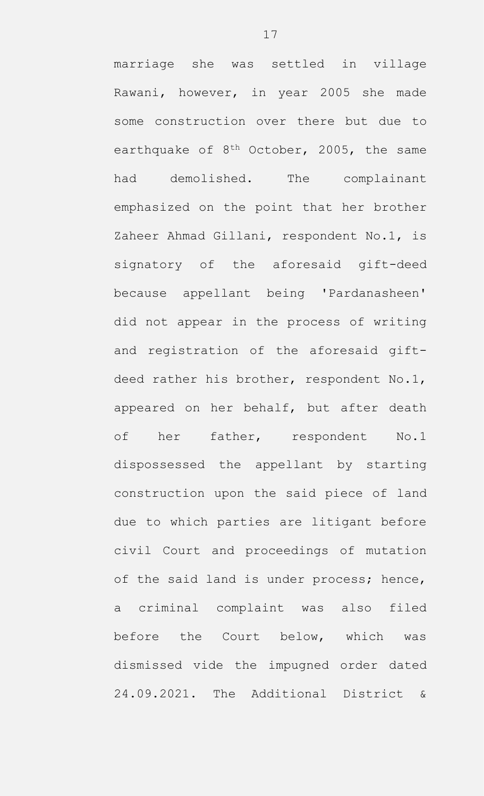marriage she was settled in village Rawani, however, in year 2005 she made some construction over there but due to earthquake of  $8<sup>th</sup>$  October, 2005, the same had demolished. The complainant emphasized on the point that her brother Zaheer Ahmad Gillani, respondent No.1, is signatory of the aforesaid gift-deed because appellant being 'Pardanasheen' did not appear in the process of writing and registration of the aforesaid giftdeed rather his brother, respondent No.1, appeared on her behalf, but after death of her father, respondent No.1 dispossessed the appellant by starting construction upon the said piece of land due to which parties are litigant before civil Court and proceedings of mutation of the said land is under process; hence, a criminal complaint was also filed before the Court below, which was dismissed vide the impugned order dated 24.09.2021. The Additional District &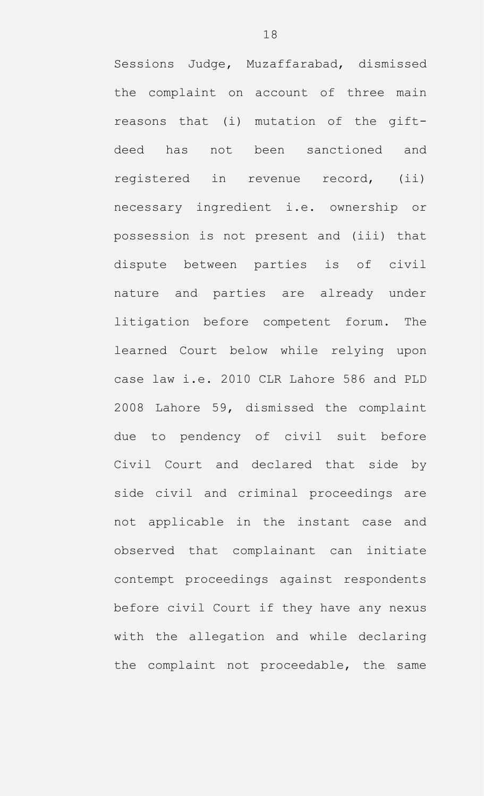Sessions Judge, Muzaffarabad, dismissed the complaint on account of three main reasons that (i) mutation of the giftdeed has not been sanctioned and registered in revenue record, (ii) necessary ingredient i.e. ownership or possession is not present and (iii) that dispute between parties is of civil nature and parties are already under litigation before competent forum. The learned Court below while relying upon case law i.e. 2010 CLR Lahore 586 and PLD 2008 Lahore 59, dismissed the complaint due to pendency of civil suit before Civil Court and declared that side by side civil and criminal proceedings are not applicable in the instant case and observed that complainant can initiate contempt proceedings against respondents before civil Court if they have any nexus with the allegation and while declaring the complaint not proceedable, the same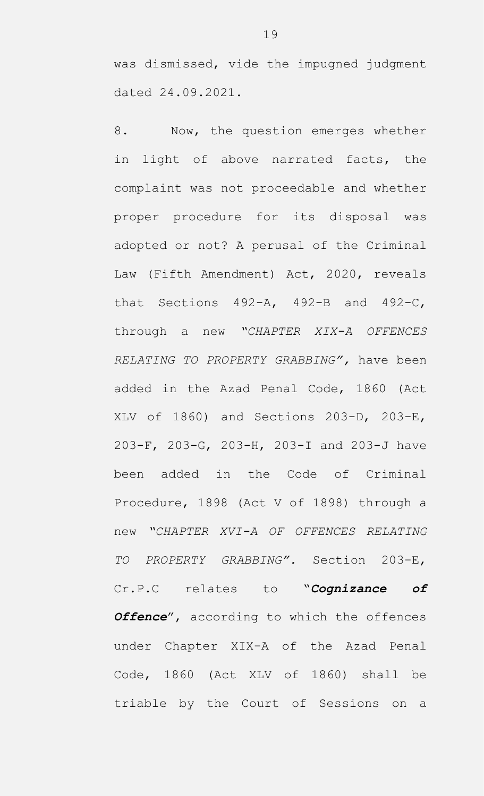was dismissed, vide the impugned judgment dated 24.09.2021.

8. Now, the question emerges whether in light of above narrated facts, the complaint was not proceedable and whether proper procedure for its disposal was adopted or not? A perusal of the Criminal Law (Fifth Amendment) Act, 2020, reveals that Sections 492-A, 492-B and 492-C, through a new *"CHAPTER XIX-A OFFENCES RELATING TO PROPERTY GRABBING",* have been added in the Azad Penal Code, 1860 (Act XLV of 1860) and Sections 203-D, 203-E, 203-F, 203-G, 203-H, 203-I and 203-J have been added in the Code of Criminal Procedure, 1898 (Act V of 1898) through a new *"CHAPTER XVI-A OF OFFENCES RELATING TO PROPERTY GRABBING".* Section 203-E, Cr.P.C relates to "*Cognizance of Offence*", according to which the offences under Chapter XIX-A of the Azad Penal Code, 1860 (Act XLV of 1860) shall be triable by the Court of Sessions on a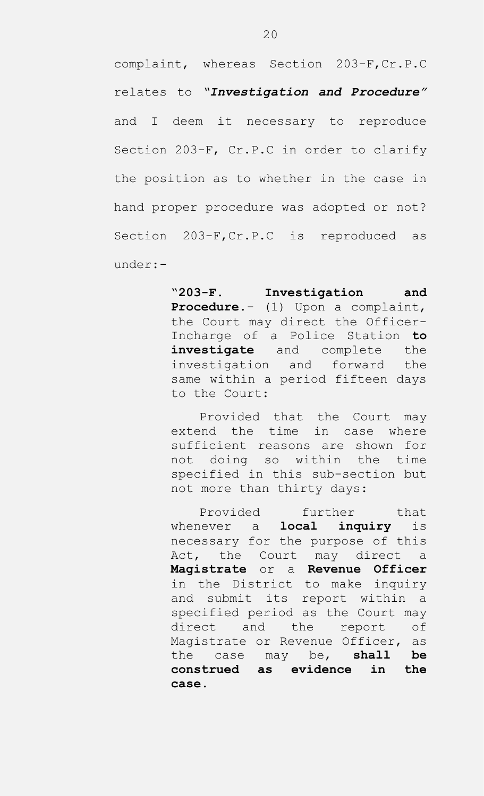complaint, whereas Section 203-F,Cr.P.C relates to *"Investigation and Procedure"* and I deem it necessary to reproduce Section 203-F, Cr.P.C in order to clarify the position as to whether in the case in hand proper procedure was adopted or not? Section 203-F, Cr.P.C is reproduced as under:-

> "**203-F. Investigation and Procedure**.- (1) Upon a complaint, the Court may direct the Officer-Incharge of a Police Station **to investigate** and complete the investigation and forward the same within a period fifteen days to the Court:

> Provided that the Court may extend the time in case where sufficient reasons are shown for not doing so within the time specified in this sub-section but not more than thirty days:

> Provided further that whenever a **local inquiry** is necessary for the purpose of this Act, the Court may direct a **Magistrate** or a **Revenue Officer** in the District to make inquiry and submit its report within a specified period as the Court may direct and the report of Magistrate or Revenue Officer, as the case may be, **shall be construed as evidence in the case**.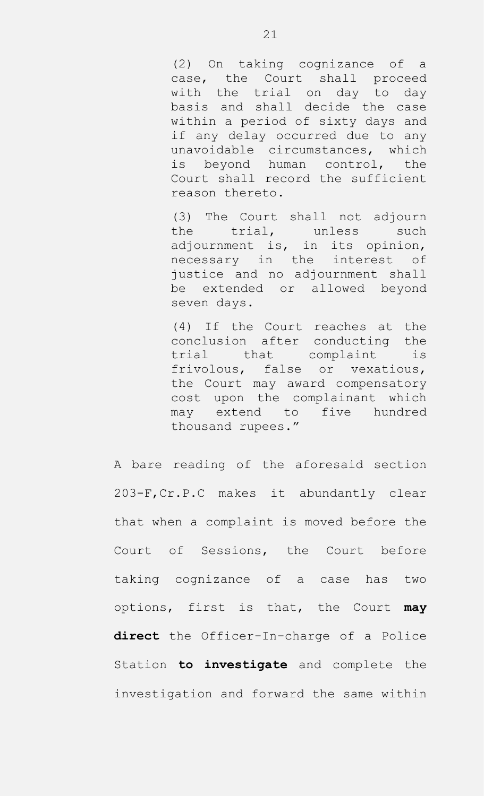(2) On taking cognizance of a case, the Court shall proceed with the trial on day to day basis and shall decide the case within a period of sixty days and if any delay occurred due to any unavoidable circumstances, which is beyond human control, the Court shall record the sufficient reason thereto.

(3) The Court shall not adjourn the trial, unless such adjournment is, in its opinion, necessary in the interest of justice and no adjournment shall be extended or allowed beyond seven days.

(4) If the Court reaches at the conclusion after conducting the trial that complaint is frivolous, false or vexatious, the Court may award compensatory cost upon the complainant which may extend to five hundred thousand rupees."

A bare reading of the aforesaid section 203-F,Cr.P.C makes it abundantly clear that when a complaint is moved before the Court of Sessions, the Court before taking cognizance of a case has two options, first is that, the Court **may direct** the Officer-In-charge of a Police Station **to investigate** and complete the investigation and forward the same within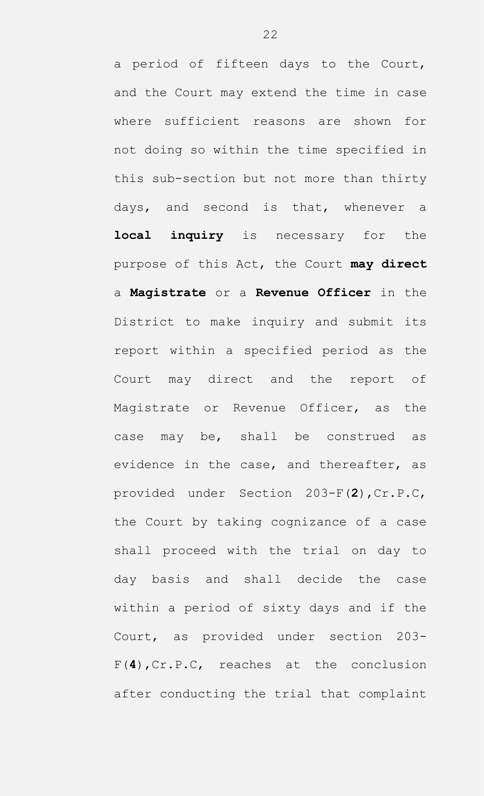a period of fifteen days to the Court, and the Court may extend the time in case where sufficient reasons are shown for not doing so within the time specified in this sub-section but not more than thirty days, and second is that, whenever a **local inquiry** is necessary for the purpose of this Act, the Court **may direct** a **Magistrate** or a **Revenue Officer** in the District to make inquiry and submit its report within a specified period as the Court may direct and the report of Magistrate or Revenue Officer, as the case may be, shall be construed as evidence in the case, and thereafter, as provided under Section 203-F(**2**),Cr.P.C, the Court by taking cognizance of a case shall proceed with the trial on day to day basis and shall decide the case within a period of sixty days and if the Court, as provided under section 203- F(**4**),Cr.P.C, reaches at the conclusion after conducting the trial that complaint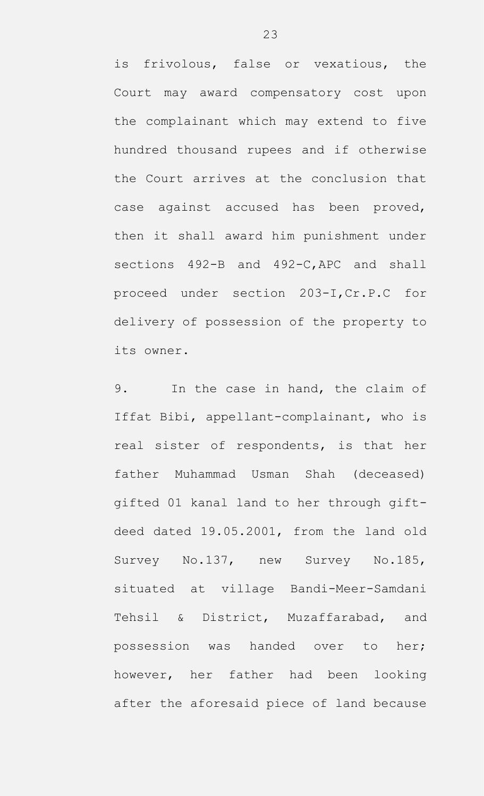is frivolous, false or vexatious, the Court may award compensatory cost upon the complainant which may extend to five hundred thousand rupees and if otherwise the Court arrives at the conclusion that case against accused has been proved, then it shall award him punishment under sections 492-B and 492-C,APC and shall proceed under section 203-I,Cr.P.C for delivery of possession of the property to its owner.

9. In the case in hand, the claim of Iffat Bibi, appellant-complainant, who is real sister of respondents, is that her father Muhammad Usman Shah (deceased) gifted 01 kanal land to her through giftdeed dated 19.05.2001, from the land old Survey No.137, new Survey No.185, situated at village Bandi-Meer-Samdani Tehsil & District, Muzaffarabad, and possession was handed over to her; however, her father had been looking after the aforesaid piece of land because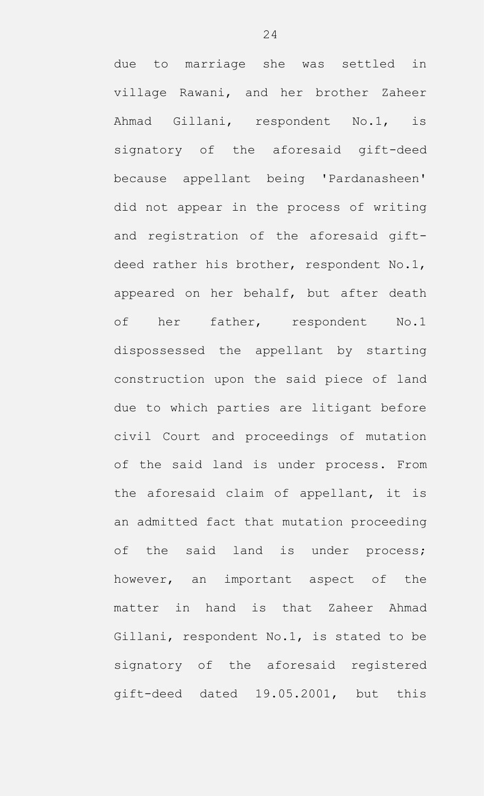due to marriage she was settled in village Rawani, and her brother Zaheer Ahmad Gillani, respondent No.1, is signatory of the aforesaid gift-deed because appellant being 'Pardanasheen' did not appear in the process of writing and registration of the aforesaid giftdeed rather his brother, respondent No.1, appeared on her behalf, but after death of her father, respondent No.1 dispossessed the appellant by starting construction upon the said piece of land due to which parties are litigant before civil Court and proceedings of mutation of the said land is under process. From the aforesaid claim of appellant, it is an admitted fact that mutation proceeding of the said land is under process; however, an important aspect of the matter in hand is that Zaheer Ahmad Gillani, respondent No.1, is stated to be signatory of the aforesaid registered gift-deed dated 19.05.2001, but this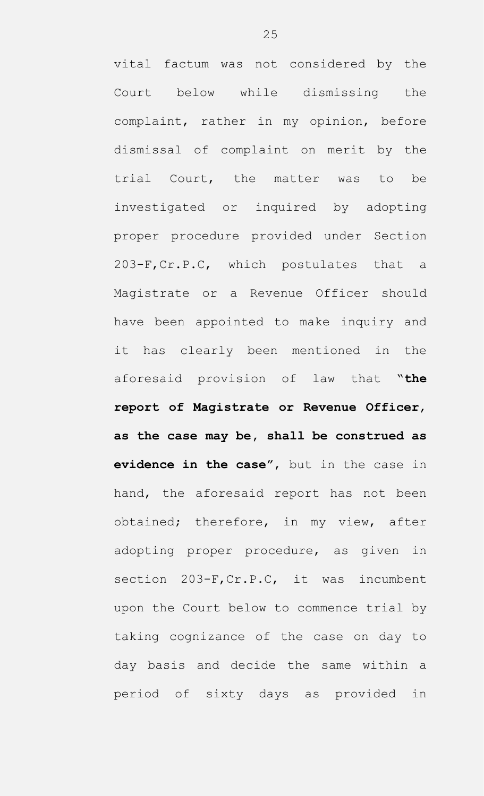vital factum was not considered by the Court below while dismissing the complaint, rather in my opinion, before dismissal of complaint on merit by the trial Court, the matter was to be investigated or inquired by adopting proper procedure provided under Section 203-F,Cr.P.C, which postulates that a Magistrate or a Revenue Officer should have been appointed to make inquiry and it has clearly been mentioned in the aforesaid provision of law that "**the report of Magistrate or Revenue Officer**, **as the case may be, shall be construed as evidence in the case"**, but in the case in hand, the aforesaid report has not been obtained; therefore, in my view, after adopting proper procedure, as given in section 203-F, Cr.P.C, it was incumbent upon the Court below to commence trial by taking cognizance of the case on day to day basis and decide the same within a period of sixty days as provided in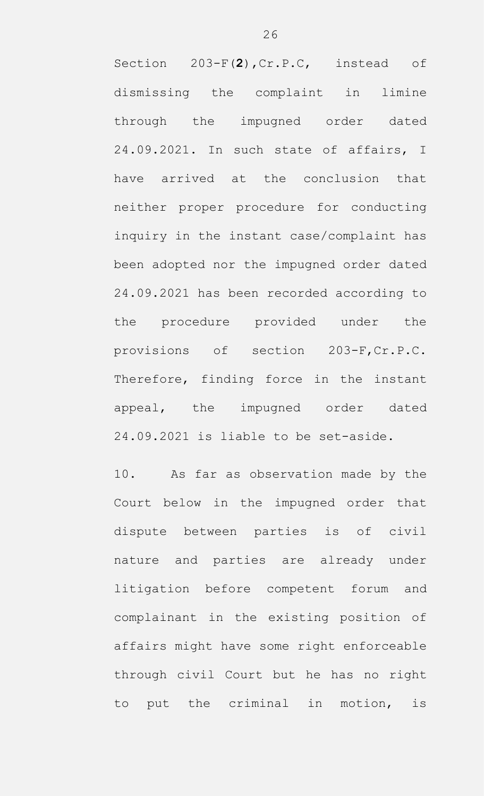Section 203-F(**2**),Cr.P.C, instead of dismissing the complaint in limine through the impugned order dated 24.09.2021. In such state of affairs, I have arrived at the conclusion that neither proper procedure for conducting inquiry in the instant case/complaint has been adopted nor the impugned order dated 24.09.2021 has been recorded according to the procedure provided under the provisions of section 203-F,Cr.P.C. Therefore, finding force in the instant appeal, the impugned order dated 24.09.2021 is liable to be set-aside.

10. As far as observation made by the Court below in the impugned order that dispute between parties is of civil nature and parties are already under litigation before competent forum and complainant in the existing position of affairs might have some right enforceable through civil Court but he has no right to put the criminal in motion, is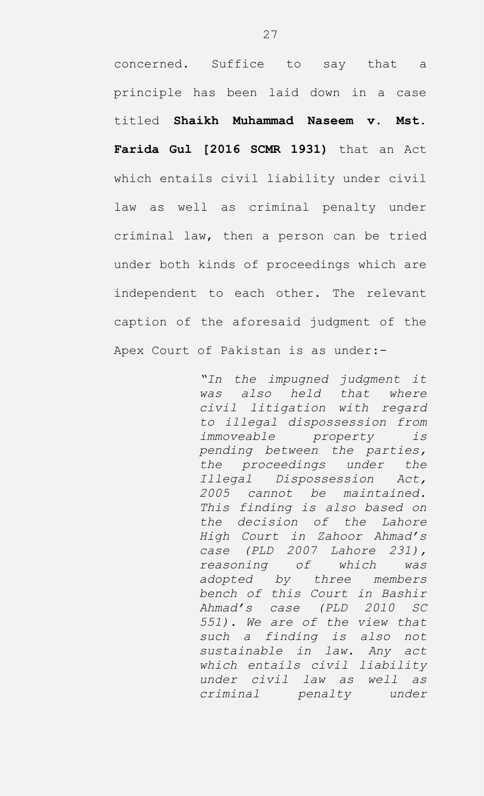concerned. Suffice to say that a principle has been laid down in a case titled **Shaikh Muhammad Naseem v. Mst. Farida Gul [2016 SCMR 1931)** that an Act which entails civil liability under civil law as well as criminal penalty under criminal law, then a person can be tried under both kinds of proceedings which are independent to each other. The relevant caption of the aforesaid judgment of the Apex Court of Pakistan is as under:-

> *"In the impugned judgment it was also held that where civil litigation with regard to illegal dispossession from immoveable property is pending between the parties, the proceedings under the Illegal Dispossession Act, 2005 cannot be maintained. This finding is also based on the decision of the Lahore High Court in Zahoor Ahmad's case (PLD 2007 Lahore 231), reasoning of which was adopted by three members bench of this Court in Bashir Ahmad's case (PLD 2010 SC 551). We are of the view that such a finding is also not sustainable in law. Any act which entails civil liability under civil law as well as criminal penalty under*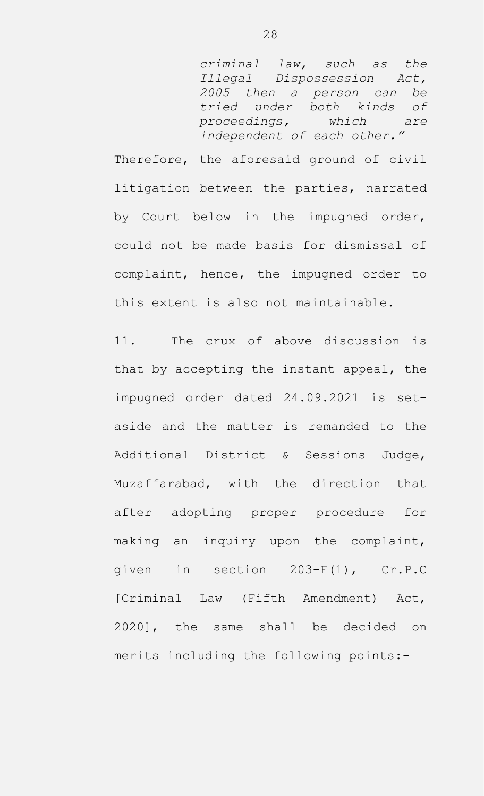*criminal law, such as the Illegal Dispossession Act, 2005 then a person can be tried under both kinds of proceedings, which are independent of each other."*

Therefore, the aforesaid ground of civil litigation between the parties, narrated by Court below in the impugned order, could not be made basis for dismissal of complaint, hence, the impugned order to this extent is also not maintainable.

11. The crux of above discussion is that by accepting the instant appeal, the impugned order dated 24.09.2021 is setaside and the matter is remanded to the Additional District & Sessions Judge, Muzaffarabad, with the direction that after adopting proper procedure for making an inquiry upon the complaint, given in section 203-F(1), Cr.P.C [Criminal Law (Fifth Amendment) Act, 2020], the same shall be decided on merits including the following points:-